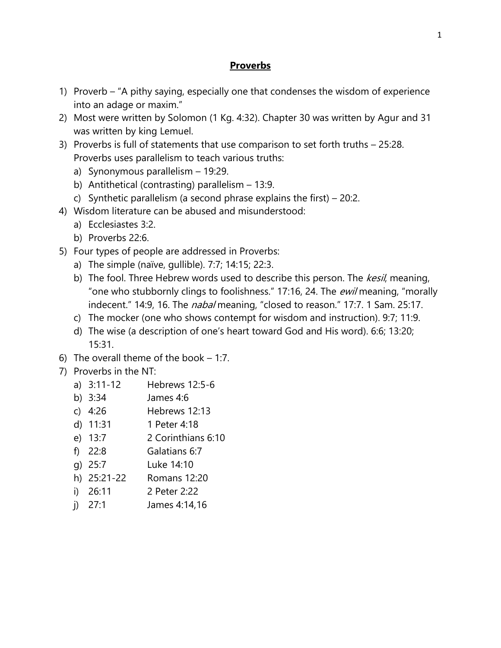### **Proverbs**

- 1) Proverb "A pithy saying, especially one that condenses the wisdom of experience into an adage or maxim."
- 2) Most were written by Solomon (1 Kg. 4:32). Chapter 30 was written by Agur and 31 was written by king Lemuel.
- 3) Proverbs is full of statements that use comparison to set forth truths 25:28. Proverbs uses parallelism to teach various truths:
	- a) Synonymous parallelism 19:29.
	- b) Antithetical (contrasting) parallelism 13:9.
	- c) Synthetic parallelism (a second phrase explains the first) 20:2.
- 4) Wisdom literature can be abused and misunderstood:
	- a) Ecclesiastes 3:2.
	- b) Proverbs 22:6.
- 5) Four types of people are addressed in Proverbs:
	- a) The simple (naïve, gullible). 7:7; 14:15; 22:3.
	- b) The fool. Three Hebrew words used to describe this person. The kesil, meaning, "one who stubbornly clings to foolishness." 17:16, 24. The *ewil* meaning, "morally indecent." 14:9, 16. The *nabal* meaning, "closed to reason." 17:7. 1 Sam. 25:17.
	- c) The mocker (one who shows contempt for wisdom and instruction). 9:7; 11:9.
	- d) The wise (a description of one's heart toward God and His word). 6:6; 13:20; 15:31.
- 6) The overall theme of the book 1:7.
- 7) Proverbs in the NT:
	- a) 3:11-12 Hebrews 12:5-6
	- b) 3:34 James 4:6
	- c) 4:26 Hebrews 12:13
	- d) 11:31 1 Peter 4:18
	- e) 13:7 2 Corinthians 6:10
	- f) 22:8 Galatians 6:7
	- g) 25:7 Luke 14:10
	- h) 25:21-22 Romans 12:20
	- i) 26:11 2 Peter 2:22
	- j) 27:1 James 4:14,16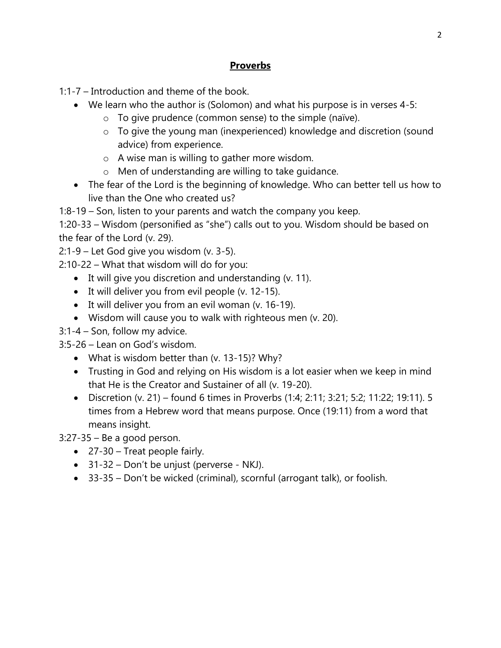## **Proverbs**

1:1-7 – Introduction and theme of the book.

- We learn who the author is (Solomon) and what his purpose is in verses 4-5:
	- $\circ$  To give prudence (common sense) to the simple (naïve).
	- o To give the young man (inexperienced) knowledge and discretion (sound advice) from experience.
	- o A wise man is willing to gather more wisdom.
	- o Men of understanding are willing to take guidance.
- The fear of the Lord is the beginning of knowledge. Who can better tell us how to live than the One who created us?

1:8-19 – Son, listen to your parents and watch the company you keep.

1:20-33 – Wisdom (personified as "she") calls out to you. Wisdom should be based on the fear of the Lord (v. 29).

2:1-9 – Let God give you wisdom (v. 3-5).

2:10-22 – What that wisdom will do for you:

- $\bullet$  It will give you discretion and understanding (v. 11).
- $\bullet$  It will deliver you from evil people (v. 12-15).
- $\bullet$  It will deliver you from an evil woman (v. 16-19).
- Wisdom will cause you to walk with righteous men (v. 20).
- 3:1-4 Son, follow my advice.
- 3:5-26 Lean on God's wisdom.
	- What is wisdom better than (v. 13-15)? Why?
	- Trusting in God and relying on His wisdom is a lot easier when we keep in mind that He is the Creator and Sustainer of all (v. 19-20).
	- Discretion (v. 21) found 6 times in Proverbs (1:4; 2:11; 3:21; 5:2; 11:22; 19:11). 5 times from a Hebrew word that means purpose. Once (19:11) from a word that means insight.

3:27-35 – Be a good person.

- 27-30 Treat people fairly.
- 31-32 Don't be unjust (perverse NKJ).
- 33-35 Don't be wicked (criminal), scornful (arrogant talk), or foolish.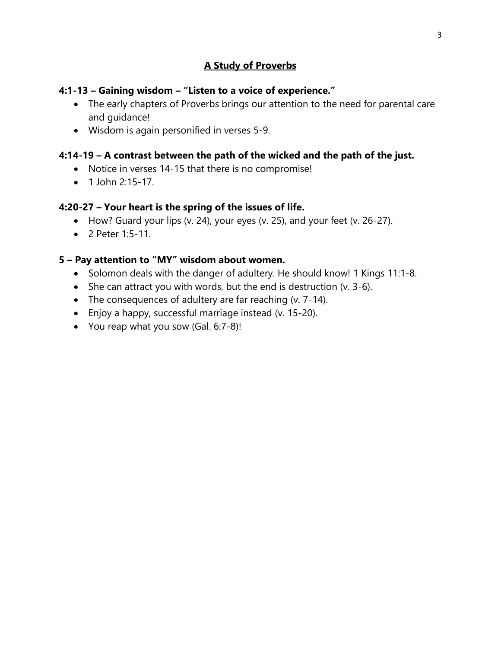## **A Study of Proverbs**

### **4:1-13 – Gaining wisdom – "Listen to a voice of experience."**

- The early chapters of Proverbs brings our attention to the need for parental care and guidance!
- Wisdom is again personified in verses 5-9.

## **4:14-19 – A contrast between the path of the wicked and the path of the just.**

- Notice in verses 14-15 that there is no compromise!
- $\bullet$  1 John 2:15-17

### **4:20-27 – Your heart is the spring of the issues of life.**

- How? Guard your lips (v. 24), your eyes (v. 25), and your feet (v. 26-27).
- 2 Peter 1:5-11.

### **5 – Pay attention to "MY" wisdom about women.**

- Solomon deals with the danger of adultery. He should know! 1 Kings 11:1-8.
- $\bullet$  She can attract you with words, but the end is destruction (v. 3-6).
- The consequences of adultery are far reaching (v. 7-14).
- Enjoy a happy, successful marriage instead (v. 15-20).
- You reap what you sow (Gal. 6:7-8)!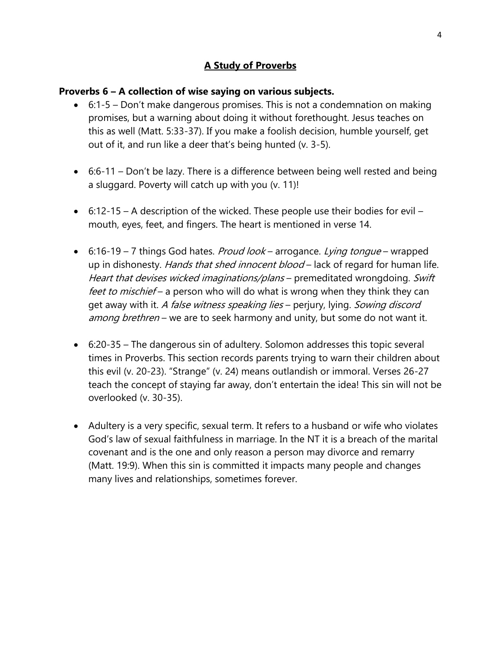## **A Study of Proverbs**

#### **Proverbs 6 – A collection of wise saying on various subjects.**

- 6:1-5 Don't make dangerous promises. This is not a condemnation on making promises, but a warning about doing it without forethought. Jesus teaches on this as well (Matt. 5:33-37). If you make a foolish decision, humble yourself, get out of it, and run like a deer that's being hunted (v. 3-5).
- $\bullet$  6:6-11 Don't be lazy. There is a difference between being well rested and being a sluggard. Poverty will catch up with you (v. 11)!
- $\bullet$  6:12-15 A description of the wicked. These people use their bodies for evil mouth, eyes, feet, and fingers. The heart is mentioned in verse 14.
- 6:16-19 7 things God hates. *Proud look* arrogance. Lying tongue wrapped up in dishonesty. Hands that shed innocent blood – lack of regard for human life. Heart that devises wicked imaginations/plans - premeditated wrongdoing. Swift feet to mischief – a person who will do what is wrong when they think they can get away with it. A false witness speaking lies – perjury, lying. Sowing discord among brethren – we are to seek harmony and unity, but some do not want it.
- 6:20-35 The dangerous sin of adultery. Solomon addresses this topic several times in Proverbs. This section records parents trying to warn their children about this evil (v. 20-23). "Strange" (v. 24) means outlandish or immoral. Verses 26-27 teach the concept of staying far away, don't entertain the idea! This sin will not be overlooked (v. 30-35).
- Adultery is a very specific, sexual term. It refers to a husband or wife who violates God's law of sexual faithfulness in marriage. In the NT it is a breach of the marital covenant and is the one and only reason a person may divorce and remarry (Matt. 19:9). When this sin is committed it impacts many people and changes many lives and relationships, sometimes forever.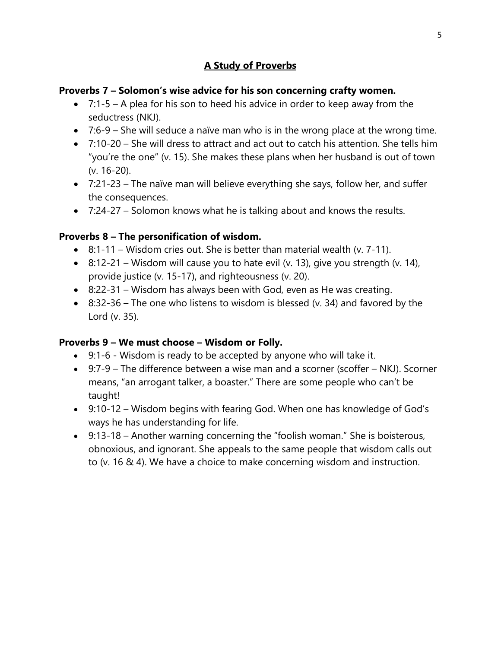## **A Study of Proverbs**

### **Proverbs 7 – Solomon's wise advice for his son concerning crafty women.**

- $\bullet$  7:1-5 A plea for his son to heed his advice in order to keep away from the seductress (NKJ).
- $\bullet$  7:6-9 She will seduce a naïve man who is in the wrong place at the wrong time.
- 7:10-20 She will dress to attract and act out to catch his attention. She tells him "you're the one" (v. 15). She makes these plans when her husband is out of town (v. 16-20).
- 7:21-23 The naïve man will believe everything she says, follow her, and suffer the consequences.
- 7:24-27 Solomon knows what he is talking about and knows the results.

### **Proverbs 8 – The personification of wisdom.**

- $\bullet$  8:1-11 Wisdom cries out. She is better than material wealth (v. 7-11).
- 8:12-21 Wisdom will cause you to hate evil (v. 13), give you strength (v. 14), provide justice (v. 15-17), and righteousness (v. 20).
- 8:22-31 Wisdom has always been with God, even as He was creating.
- $\bullet$  8:32-36 The one who listens to wisdom is blessed (v. 34) and favored by the Lord (v. 35).

### **Proverbs 9 – We must choose – Wisdom or Folly.**

- 9:1-6 Wisdom is ready to be accepted by anyone who will take it.
- 9:7-9 The difference between a wise man and a scorner (scoffer NKJ). Scorner means, "an arrogant talker, a boaster." There are some people who can't be taught!
- 9:10-12 Wisdom begins with fearing God. When one has knowledge of God's ways he has understanding for life.
- 9:13-18 Another warning concerning the "foolish woman." She is boisterous, obnoxious, and ignorant. She appeals to the same people that wisdom calls out to (v. 16 & 4). We have a choice to make concerning wisdom and instruction.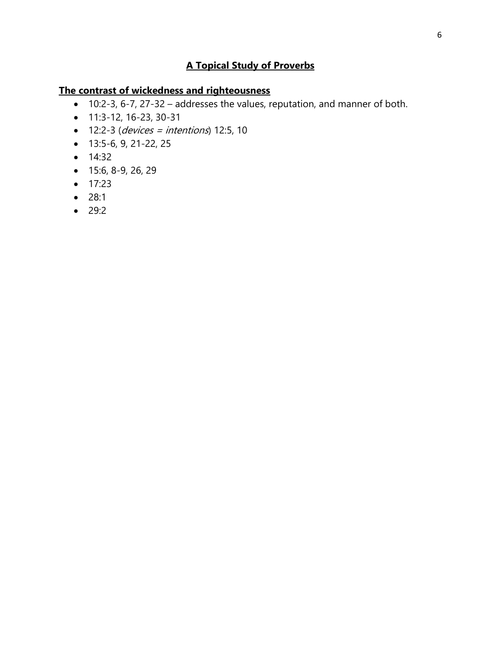#### **The contrast of wickedness and righteousness**

- 10:2-3, 6-7, 27-32 addresses the values, reputation, and manner of both.
- 11:3-12, 16-23, 30-31
- $\bullet$  12:2-3 (devices = intentions) 12:5, 10
- 13:5-6, 9, 21-22, 25
- $14:32$
- $\bullet$  15:6, 8-9, 26, 29
- $17:23$
- $28:1$
- $29:2$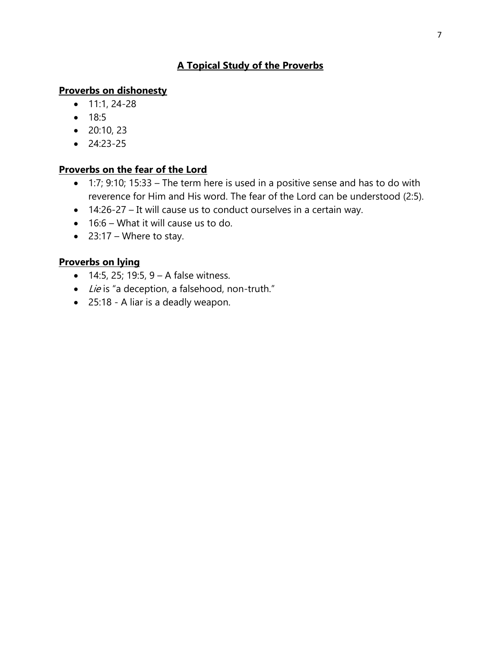#### **Proverbs on dishonesty**

- $\bullet$  11:1, 24-28
- $18:5$
- $\bullet$  20:10, 23
- $24:23-25$

### **Proverbs on the fear of the Lord**

- $\bullet$  1:7; 9:10; 15:33 The term here is used in a positive sense and has to do with reverence for Him and His word. The fear of the Lord can be understood (2:5).
- 14:26-27 It will cause us to conduct ourselves in a certain way.
- 16:6 What it will cause us to do.
- $\bullet$  23:17 Where to stay.

### **Proverbs on lying**

- $\bullet$  14:5, 25; 19:5, 9 A false witness.
- Lie is "a deception, a falsehood, non-truth."
- 25:18 A liar is a deadly weapon.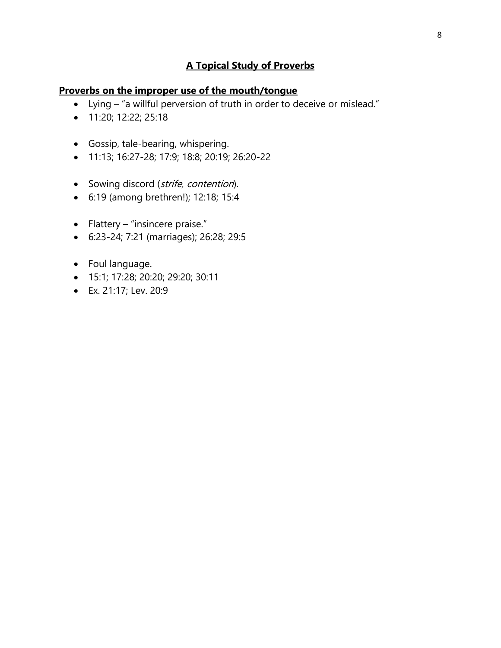#### **Proverbs on the improper use of the mouth/tongue**

- Lying "a willful perversion of truth in order to deceive or mislead."
- **11:20; 12:22; 25:18**
- Gossip, tale-bearing, whispering.
- 11:13; 16:27-28; 17:9; 18:8; 20:19; 26:20-22
- Sowing discord (strife, contention).
- 6:19 (among brethren!); 12:18; 15:4
- $\bullet$  Flattery "insincere praise."
- 6:23-24; 7:21 (marriages); 26:28; 29:5
- Foul language.
- 15:1; 17:28; 20:20; 29:20; 30:11
- Ex. 21:17; Lev. 20:9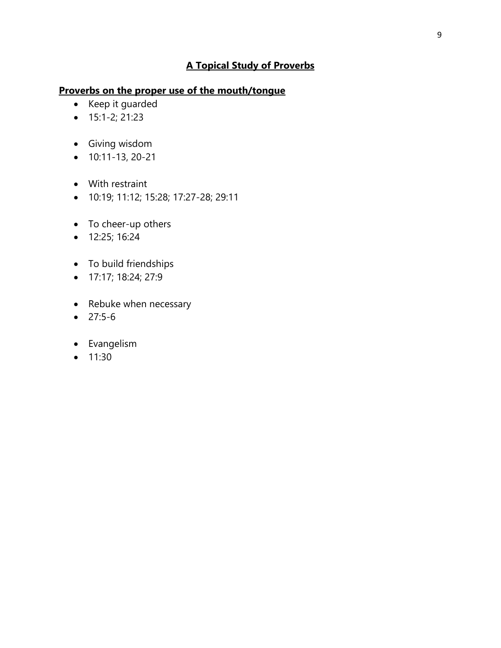### **Proverbs on the proper use of the mouth/tongue**

- Keep it guarded
- $\bullet$  15:1-2; 21:23
- Giving wisdom
- $\bullet$  10:11-13, 20-21
- With restraint
- 10:19; 11:12; 15:28; 17:27-28; 29:11
- To cheer-up others
- 12:25; 16:24
- To build friendships
- 17:17; 18:24; 27:9
- Rebuke when necessary
- $27:5-6$
- Evangelism
- $11:30$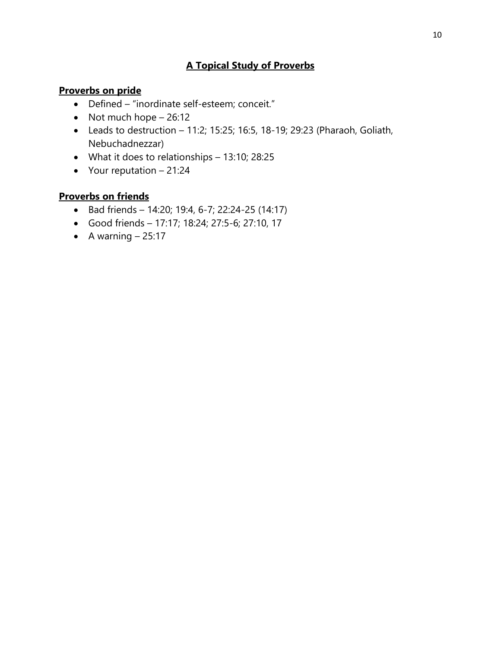### **Proverbs on pride**

- Defined "inordinate self-esteem; conceit."
- $\bullet$  Not much hope  $-26:12$
- $\bullet$  Leads to destruction 11:2; 15:25; 16:5, 18-19; 29:23 (Pharaoh, Goliath, Nebuchadnezzar)
- What it does to relationships 13:10; 28:25
- Your reputation  $-21:24$

### **Proverbs on friends**

- $\bullet$  Bad friends 14:20; 19:4, 6-7; 22:24-25 (14:17)
- Good friends 17:17; 18:24; 27:5-6; 27:10, 17
- $\bullet$  A warning  $-25:17$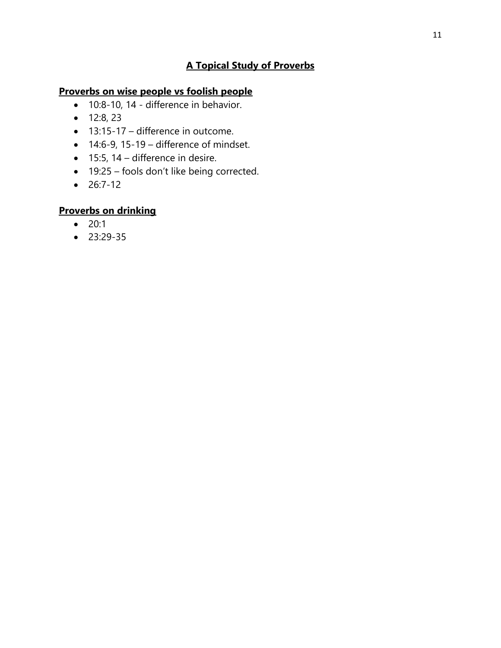## **Proverbs on wise people vs foolish people**

- 10:8-10, 14 difference in behavior.
- $\bullet$  12:8, 23
- 13:15-17 difference in outcome.
- $\bullet$  14:6-9, 15-19 difference of mindset.
- $\bullet$  15:5, 14 difference in desire.
- 19:25 fools don't like being corrected.
- $26:7-12$

## **Proverbs on drinking**

- $20:1$
- $23:29-35$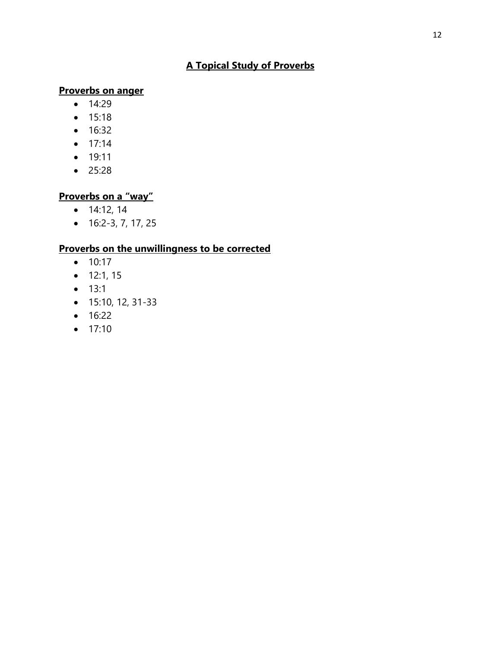### **Proverbs on anger**

- $14:29$
- $15:18$
- 16:32
- $17:14$
- 19:11
- $25:28$

### **Proverbs on a "way"**

- $\bullet$  14:12, 14
- $\bullet$  16:2-3, 7, 17, 25

### **Proverbs on the unwillingness to be corrected**

- $10:17$
- $12:1, 15$
- $13:1$
- $\bullet$  15:10, 12, 31-33
- $16:22$
- $17:10$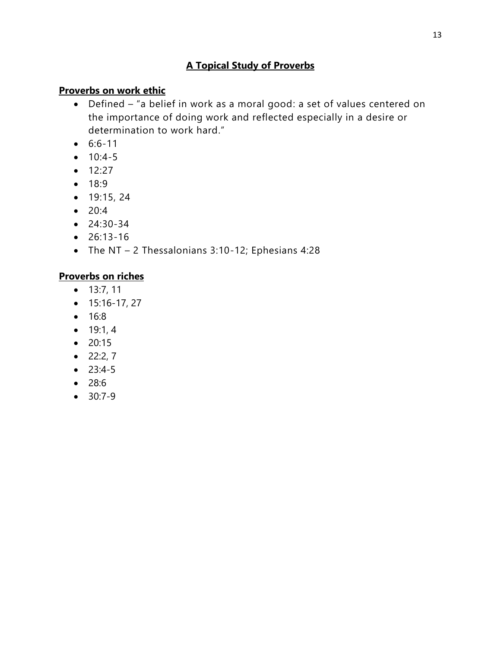### **Proverbs on work ethic**

- Defined "a belief in work as a moral good: a set of values centered on the importance of doing work and reflected especially in a desire or determination to work hard."
- $6:6-11$
- $10:4-5$
- $12:27$
- $18:9$
- $\bullet$  19:15, 24
- $20:4$
- $24:30-34$
- $26:13-16$
- The NT 2 Thessalonians 3:10-12; Ephesians 4:28

## **Proverbs on riches**

- $13:7, 11$
- $\bullet$  15:16-17, 27
- $16:8$
- $\bullet$  19:1, 4
- $20:15$
- $\bullet$  22:2, 7
- $23:4-5$
- 28:6
- $-30:7-9$